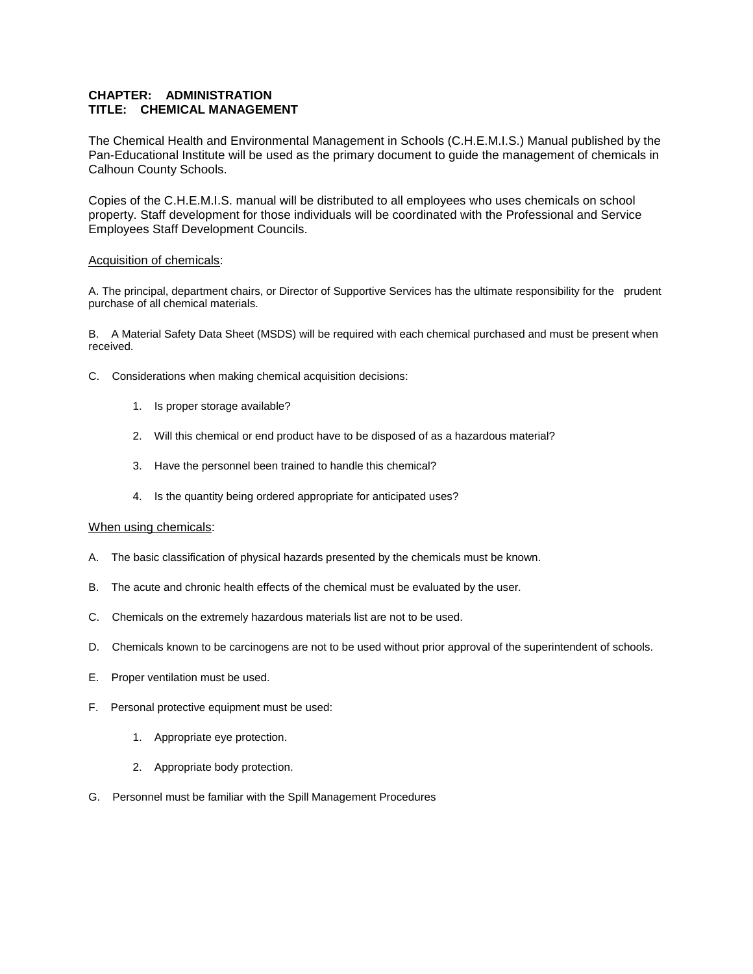## **CHAPTER: ADMINISTRATION TITLE: CHEMICAL MANAGEMENT**

The Chemical Health and Environmental Management in Schools (C.H.E.M.I.S.) Manual published by the Pan-Educational Institute will be used as the primary document to guide the management of chemicals in Calhoun County Schools.

Copies of the C.H.E.M.I.S. manual will be distributed to all employees who uses chemicals on school property. Staff development for those individuals will be coordinated with the Professional and Service Employees Staff Development Councils.

## Acquisition of chemicals:

A. The principal, department chairs, or Director of Supportive Services has the ultimate responsibility for the prudent purchase of all chemical materials.

B. A Material Safety Data Sheet (MSDS) will be required with each chemical purchased and must be present when received.

- C. Considerations when making chemical acquisition decisions:
	- 1. Is proper storage available?
	- 2. Will this chemical or end product have to be disposed of as a hazardous material?
	- 3. Have the personnel been trained to handle this chemical?
	- 4. Is the quantity being ordered appropriate for anticipated uses?

## When using chemicals:

- A. The basic classification of physical hazards presented by the chemicals must be known.
- B. The acute and chronic health effects of the chemical must be evaluated by the user.
- C. Chemicals on the extremely hazardous materials list are not to be used.
- D. Chemicals known to be carcinogens are not to be used without prior approval of the superintendent of schools.
- E. Proper ventilation must be used.
- F. Personal protective equipment must be used:
	- 1. Appropriate eye protection.
	- 2. Appropriate body protection.
- G. Personnel must be familiar with the Spill Management Procedures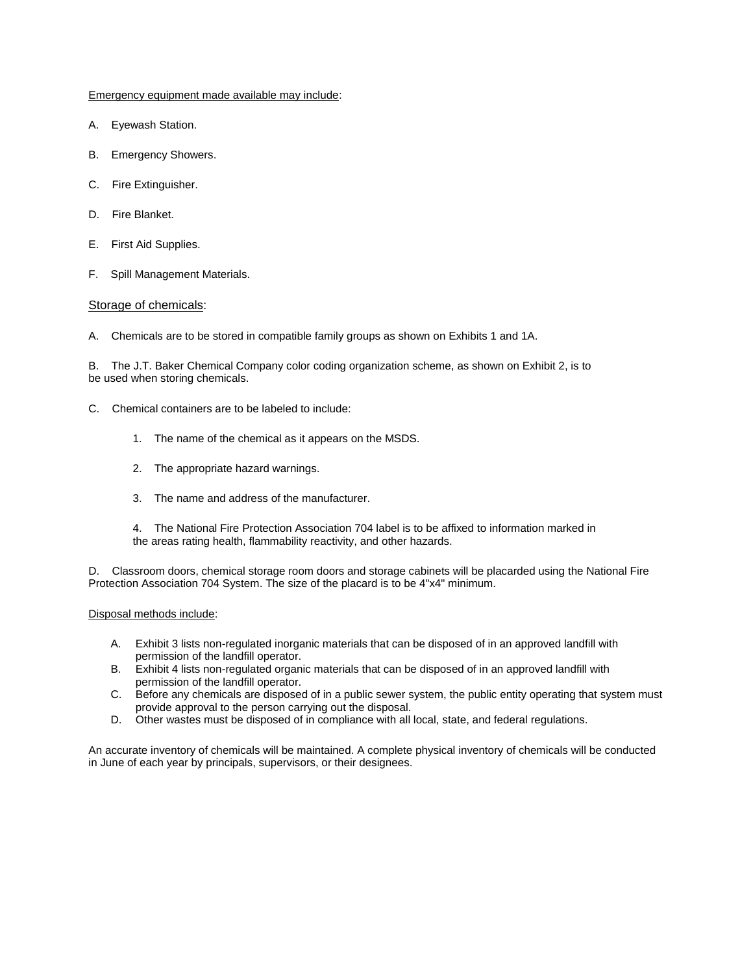Emergency equipment made available may include:

- A. Eyewash Station.
- B. Emergency Showers.
- C. Fire Extinguisher.
- D. Fire Blanket.
- E. First Aid Supplies.
- F. Spill Management Materials.

### Storage of chemicals:

A. Chemicals are to be stored in compatible family groups as shown on Exhibits 1 and 1A.

B. The J.T. Baker Chemical Company color coding organization scheme, as shown on Exhibit 2, is to be used when storing chemicals.

- C. Chemical containers are to be labeled to include:
	- 1. The name of the chemical as it appears on the MSDS.
	- 2. The appropriate hazard warnings.
	- 3. The name and address of the manufacturer.
	- 4. The National Fire Protection Association 704 label is to be affixed to information marked in the areas rating health, flammability reactivity, and other hazards.

D. Classroom doors, chemical storage room doors and storage cabinets will be placarded using the National Fire Protection Association 704 System. The size of the placard is to be 4"x4" minimum.

#### Disposal methods include:

- A. Exhibit 3 lists non-regulated inorganic materials that can be disposed of in an approved landfill with permission of the landfill operator.
- B. Exhibit 4 lists non-regulated organic materials that can be disposed of in an approved landfill with permission of the landfill operator.
- C. Before any chemicals are disposed of in a public sewer system, the public entity operating that system must provide approval to the person carrying out the disposal.
- D. Other wastes must be disposed of in compliance with all local, state, and federal regulations.

An accurate inventory of chemicals will be maintained. A complete physical inventory of chemicals will be conducted in June of each year by principals, supervisors, or their designees.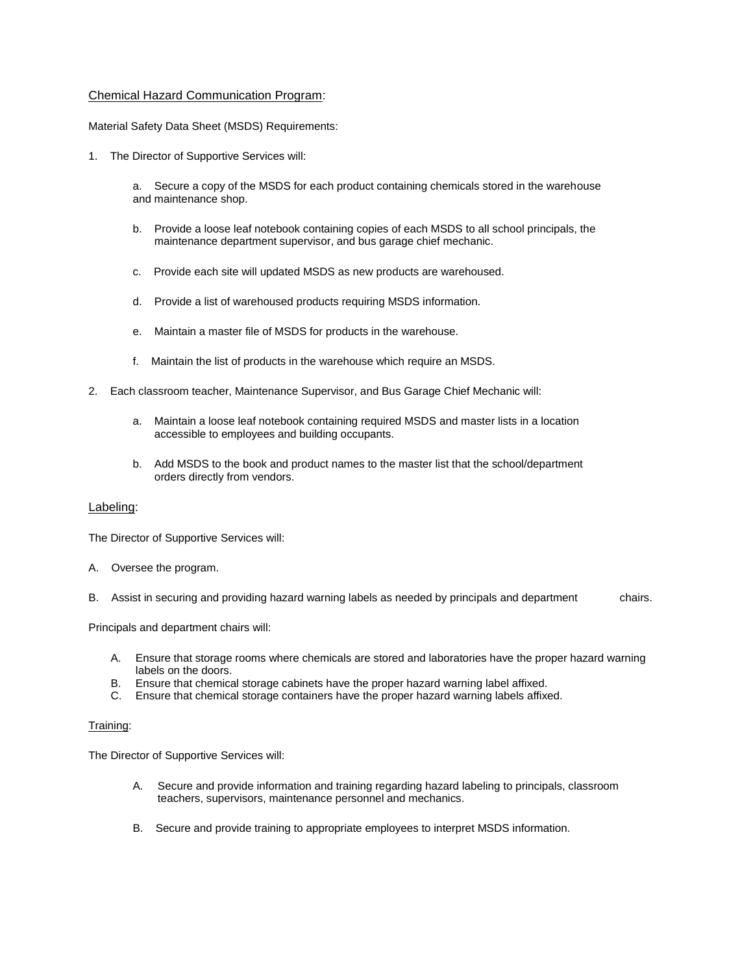## Chemical Hazard Communication Program:

Material Safety Data Sheet (MSDS) Requirements:

1. The Director of Supportive Services will:

a. Secure a copy of the MSDS for each product containing chemicals stored in the warehouse and maintenance shop.

- b. Provide a loose leaf notebook containing copies of each MSDS to all school principals, the maintenance department supervisor, and bus garage chief mechanic.
- c. Provide each site will updated MSDS as new products are warehoused.
- d. Provide a list of warehoused products requiring MSDS information.
- e. Maintain a master file of MSDS for products in the warehouse.
- f. Maintain the list of products in the warehouse which require an MSDS.
- 2. Each classroom teacher, Maintenance Supervisor, and Bus Garage Chief Mechanic will:
	- a. Maintain a loose leaf notebook containing required MSDS and master lists in a location accessible to employees and building occupants.
	- b. Add MSDS to the book and product names to the master list that the school/department orders directly from vendors.

### Labeling:

The Director of Supportive Services will:

- A. Oversee the program.
- B. Assist in securing and providing hazard warning labels as needed by principals and department chairs.

Principals and department chairs will:

- A. Ensure that storage rooms where chemicals are stored and laboratories have the proper hazard warning labels on the doors.
- B. Ensure that chemical storage cabinets have the proper hazard warning label affixed.
- C. Ensure that chemical storage containers have the proper hazard warning labels affixed.

#### Training:

The Director of Supportive Services will:

- A. Secure and provide information and training regarding hazard labeling to principals, classroom teachers, supervisors, maintenance personnel and mechanics.
- B. Secure and provide training to appropriate employees to interpret MSDS information.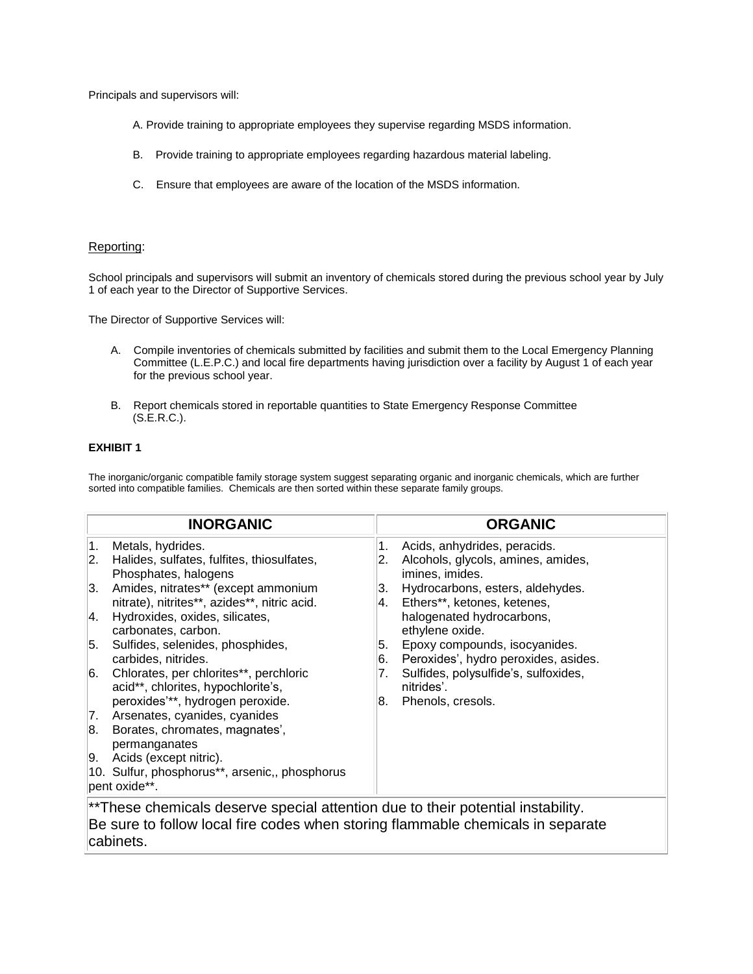Principals and supervisors will:

- A. Provide training to appropriate employees they supervise regarding MSDS information.
- B. Provide training to appropriate employees regarding hazardous material labeling.
- C. Ensure that employees are aware of the location of the MSDS information.

### Reporting:

School principals and supervisors will submit an inventory of chemicals stored during the previous school year by July 1 of each year to the Director of Supportive Services.

The Director of Supportive Services will:

- A. Compile inventories of chemicals submitted by facilities and submit them to the Local Emergency Planning Committee (L.E.P.C.) and local fire departments having jurisdiction over a facility by August 1 of each year for the previous school year.
- B. Report chemicals stored in reportable quantities to State Emergency Response Committee (S.E.R.C.).

### **EXHIBIT 1**

The inorganic/organic compatible family storage system suggest separating organic and inorganic chemicals, which are further sorted into compatible families. Chemicals are then sorted within these separate family groups.

|    | <b>INORGANIC</b>                                                                                                                                                   |          | <b>ORGANIC</b>                                                              |  |  |
|----|--------------------------------------------------------------------------------------------------------------------------------------------------------------------|----------|-----------------------------------------------------------------------------|--|--|
| 1. | Metals, hydrides.                                                                                                                                                  | 1.       | Acids, anhydrides, peracids.                                                |  |  |
| 2. | Halides, sulfates, fulfites, thiosulfates,<br>Phosphates, halogens                                                                                                 | 2.       | Alcohols, glycols, amines, amides,<br>imines, imides.                       |  |  |
| 3. | Amides, nitrates** (except ammonium                                                                                                                                | 3.       | Hydrocarbons, esters, aldehydes.                                            |  |  |
| 4. | nitrate), nitrites**, azides**, nitric acid.<br>Hydroxides, oxides, silicates,<br>carbonates, carbon.                                                              | 4.       | Ethers**, ketones, ketenes,<br>halogenated hydrocarbons,<br>ethylene oxide. |  |  |
| 5. | Sulfides, selenides, phosphides,<br>carbides, nitrides.                                                                                                            | 5.<br>6. | Epoxy compounds, isocyanides.<br>Peroxides', hydro peroxides, asides.       |  |  |
| 6. | Chlorates, per chlorites**, perchloric<br>acid**, chlorites, hypochlorite's,                                                                                       | 7.       | Sulfides, polysulfide's, sulfoxides,<br>nitrides'.                          |  |  |
|    | peroxides"**, hydrogen peroxide.                                                                                                                                   | 8.       | Phenols, cresols.                                                           |  |  |
| 7. | Arsenates, cyanides, cyanides                                                                                                                                      |          |                                                                             |  |  |
| 8. | Borates, chromates, magnates',<br>permanganates                                                                                                                    |          |                                                                             |  |  |
| 9. | Acids (except nitric).                                                                                                                                             |          |                                                                             |  |  |
|    | 10. Sulfur, phosphorus**, arsenic,, phosphorus<br>pent oxide**.                                                                                                    |          |                                                                             |  |  |
|    | **These chemicals deserve special attention due to their potential instability.<br>Be sure to follow local fire codes when storing flammable chemicals in separate |          |                                                                             |  |  |

cabinets.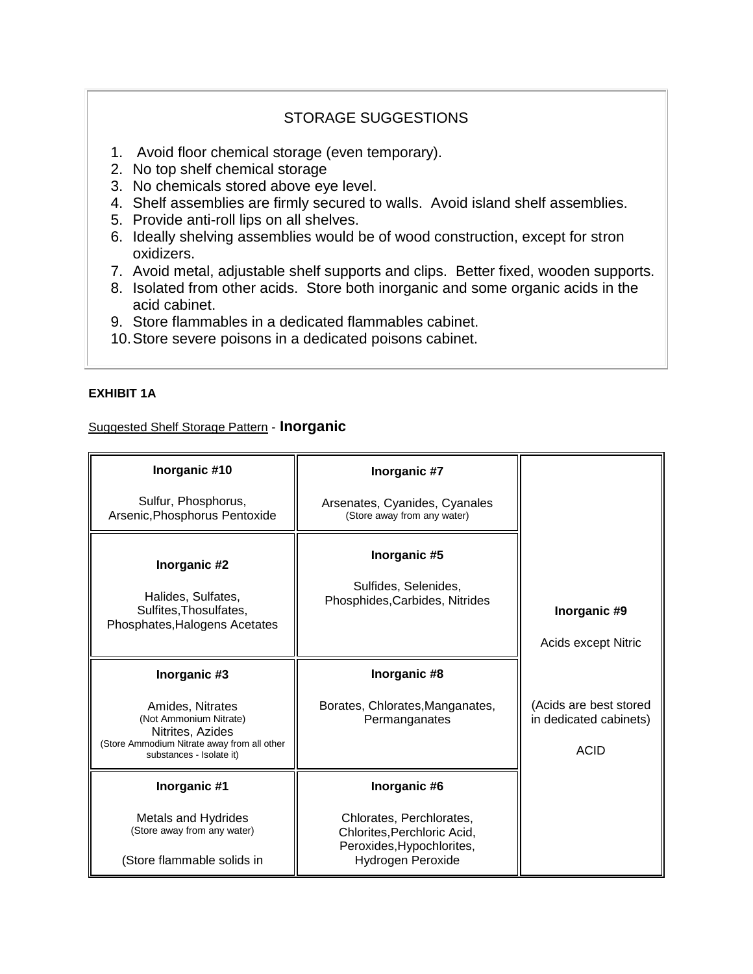# STORAGE SUGGESTIONS

- 1. Avoid floor chemical storage (even temporary).
- 2. No top shelf chemical storage
- 3. No chemicals stored above eye level.
- 4. Shelf assemblies are firmly secured to walls. Avoid island shelf assemblies.
- 5. Provide anti-roll lips on all shelves.
- 6. Ideally shelving assemblies would be of wood construction, except for stron oxidizers.
- 7. Avoid metal, adjustable shelf supports and clips. Better fixed, wooden supports.
- 8. Isolated from other acids. Store both inorganic and some organic acids in the acid cabinet.
- 9. Store flammables in a dedicated flammables cabinet.
- 10.Store severe poisons in a dedicated poisons cabinet.

## **EXHIBIT 1A**

# Suggested Shelf Storage Pattern - **Inorganic**

| Inorganic #10                                                                                                                             | Inorganic #7                                                                         |                                                                 |
|-------------------------------------------------------------------------------------------------------------------------------------------|--------------------------------------------------------------------------------------|-----------------------------------------------------------------|
| Sulfur, Phosphorus,<br>Arsenic, Phosphorus Pentoxide                                                                                      | Arsenates, Cyanides, Cyanales<br>(Store away from any water)                         |                                                                 |
| Inorganic #2<br>Halides, Sulfates,<br>Sulfites, Thosulfates,<br>Phosphates, Halogens Acetates                                             | Inorganic #5<br>Sulfides, Selenides,<br>Phosphides, Carbides, Nitrides               | Inorganic #9<br>Acids except Nitric                             |
| Inorganic #3                                                                                                                              | Inorganic #8                                                                         |                                                                 |
| Amides, Nitrates<br>(Not Ammonium Nitrate)<br>Nitrites, Azides<br>(Store Ammodium Nitrate away from all other<br>substances - Isolate it) | Borates, Chlorates, Manganates,<br>Permanganates                                     | (Acids are best stored<br>in dedicated cabinets)<br><b>ACID</b> |
| Inorganic #1                                                                                                                              | Inorganic #6                                                                         |                                                                 |
| <b>Metals and Hydrides</b><br>(Store away from any water)                                                                                 | Chlorates, Perchlorates,<br>Chlorites, Perchloric Acid,<br>Peroxides, Hypochlorites, |                                                                 |
| (Store flammable solids in                                                                                                                | Hydrogen Peroxide                                                                    |                                                                 |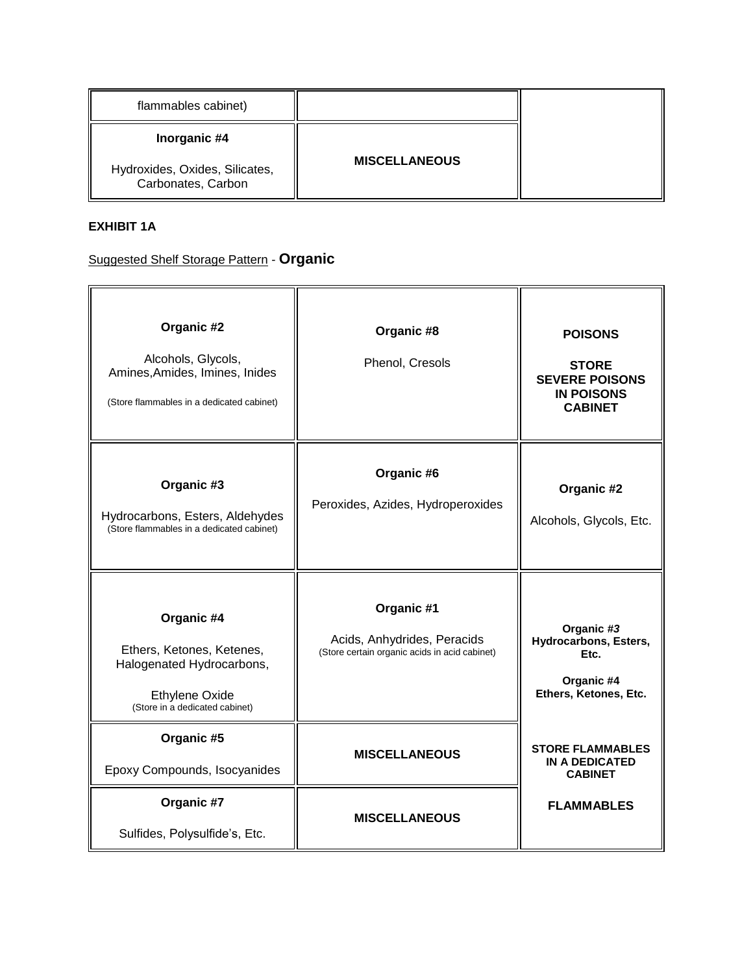| flammables cabinet)                                  |                      |  |
|------------------------------------------------------|----------------------|--|
| Inorganic #4                                         |                      |  |
| Hydroxides, Oxides, Silicates,<br>Carbonates, Carbon | <b>MISCELLANEOUS</b> |  |

# **EXHIBIT 1A**

# Suggested Shelf Storage Pattern - **Organic**

| Organic #2<br>Alcohols, Glycols,<br>Amines, Amides, Imines, Inides<br>(Store flammables in a dedicated cabinet)                 | Organic #8<br>Phenol, Cresols                                                              | <b>POISONS</b><br><b>STORE</b><br><b>SEVERE POISONS</b><br><b>IN POISONS</b><br><b>CABINET</b> |
|---------------------------------------------------------------------------------------------------------------------------------|--------------------------------------------------------------------------------------------|------------------------------------------------------------------------------------------------|
| Organic #3<br>Hydrocarbons, Esters, Aldehydes<br>(Store flammables in a dedicated cabinet)                                      | Organic #6<br>Peroxides, Azides, Hydroperoxides                                            | Organic #2<br>Alcohols, Glycols, Etc.                                                          |
| Organic #4<br>Ethers, Ketones, Ketenes,<br>Halogenated Hydrocarbons,<br><b>Ethylene Oxide</b><br>(Store in a dedicated cabinet) | Organic #1<br>Acids, Anhydrides, Peracids<br>(Store certain organic acids in acid cabinet) | Organic #3<br>Hydrocarbons, Esters,<br>Etc.<br>Organic #4<br>Ethers, Ketones, Etc.             |
| Organic #5<br>Epoxy Compounds, Isocyanides                                                                                      | <b>MISCELLANEOUS</b>                                                                       | <b>STORE FLAMMABLES</b><br><b>IN A DEDICATED</b><br><b>CABINET</b>                             |
| Organic #7<br>Sulfides, Polysulfide's, Etc.                                                                                     | <b>MISCELLANEOUS</b>                                                                       | <b>FLAMMABLES</b>                                                                              |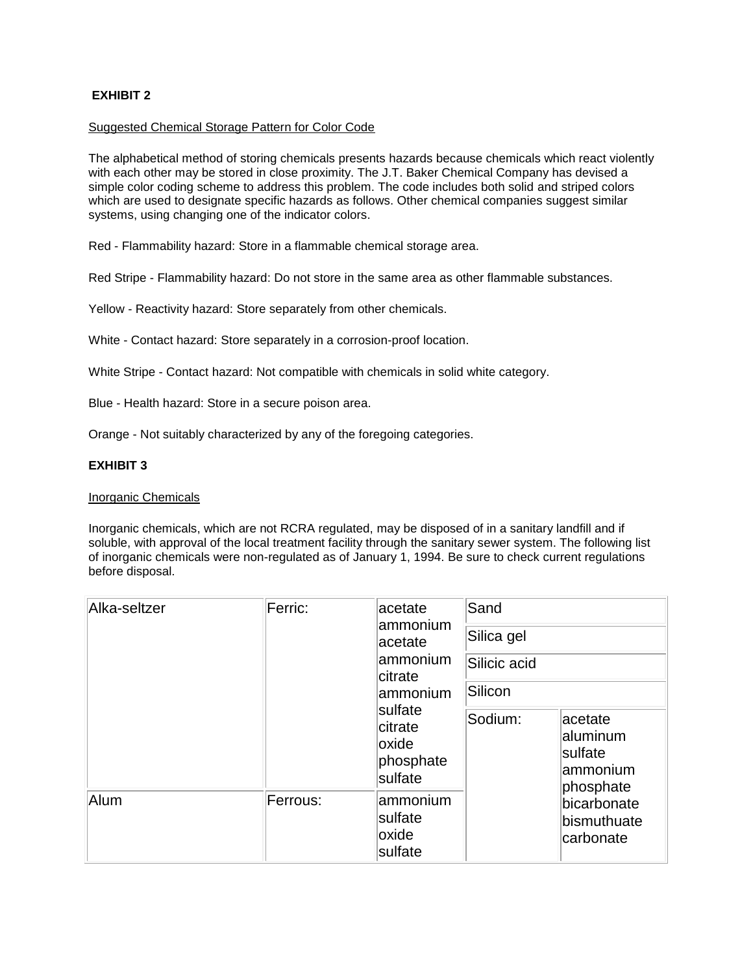# **EXHIBIT 2**

## Suggested Chemical Storage Pattern for Color Code

The alphabetical method of storing chemicals presents hazards because chemicals which react violently with each other may be stored in close proximity. The J.T. Baker Chemical Company has devised a simple color coding scheme to address this problem. The code includes both solid and striped colors which are used to designate specific hazards as follows. Other chemical companies suggest similar systems, using changing one of the indicator colors.

Red - Flammability hazard: Store in a flammable chemical storage area.

Red Stripe - Flammability hazard: Do not store in the same area as other flammable substances.

Yellow - Reactivity hazard: Store separately from other chemicals.

White - Contact hazard: Store separately in a corrosion-proof location.

White Stripe - Contact hazard: Not compatible with chemicals in solid white category.

Blue - Health hazard: Store in a secure poison area.

Orange - Not suitably characterized by any of the foregoing categories.

## **EXHIBIT 3**

### Inorganic Chemicals

Inorganic chemicals, which are not RCRA regulated, may be disposed of in a sanitary landfill and if soluble, with approval of the local treatment facility through the sanitary sewer system. The following list of inorganic chemicals were non-regulated as of January 1, 1994. Be sure to check current regulations before disposal.

| Alka-seltzer | Ferric:  | acetate<br>ammonium<br>acetate<br>ammonium<br>citrate<br>lammonium<br><b>sulfate</b><br>citrate<br>oxide<br>phosphate<br>sulfate | Sand<br>Silica gel<br>Silicic acid<br>Silicon |                                                          |
|--------------|----------|----------------------------------------------------------------------------------------------------------------------------------|-----------------------------------------------|----------------------------------------------------------|
|              |          |                                                                                                                                  | Sodium:                                       | acetate<br>aluminum<br>sulfate<br>lammonium<br>phosphate |
| Alum         | Ferrous: | ammonium<br>sulfate<br>oxide<br>sulfate                                                                                          |                                               | bicarbonate<br>bismuthuate<br>carbonate                  |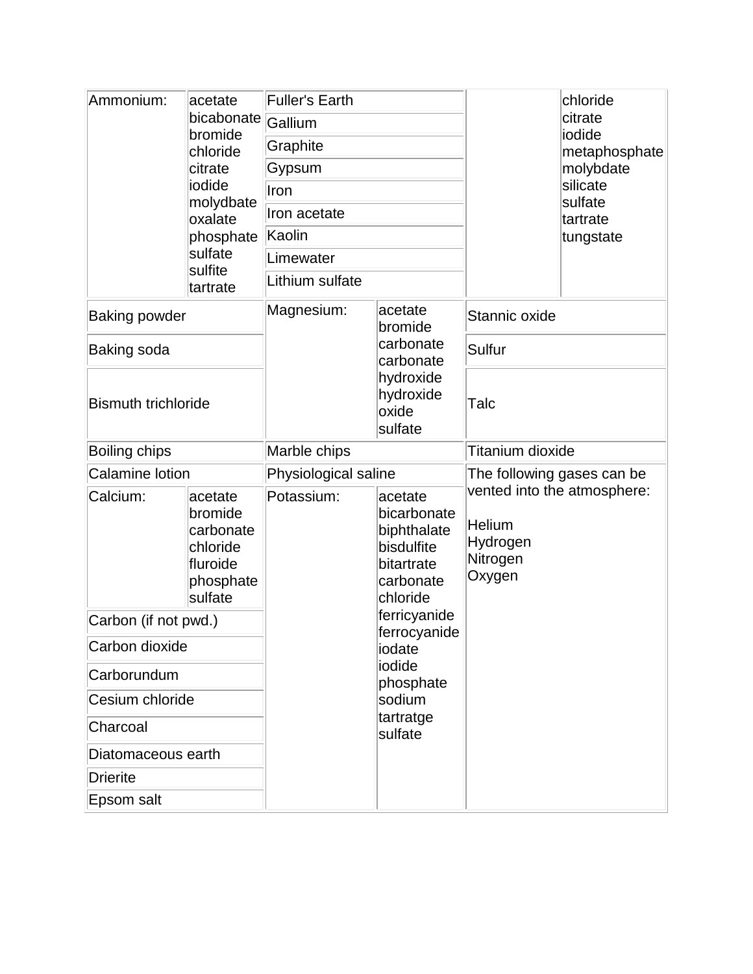| Ammonium:                  | acetate<br>bicabonate<br>bromide<br>chloride<br>citrate<br>iodide<br>molydbate<br>oxalate<br>phosphate | <b>Fuller's Earth</b>                                                                                    |                                                                                            | chloride<br>citrate<br>iodide                                                  |                                                           |  |
|----------------------------|--------------------------------------------------------------------------------------------------------|----------------------------------------------------------------------------------------------------------|--------------------------------------------------------------------------------------------|--------------------------------------------------------------------------------|-----------------------------------------------------------|--|
|                            |                                                                                                        | Gallium                                                                                                  |                                                                                            |                                                                                |                                                           |  |
|                            |                                                                                                        | Graphite                                                                                                 |                                                                                            |                                                                                | metaphosphate                                             |  |
|                            |                                                                                                        | Gypsum                                                                                                   |                                                                                            |                                                                                | molybdate<br>silicate<br>sulfate<br>tartrate<br>tungstate |  |
|                            |                                                                                                        | Iron                                                                                                     |                                                                                            |                                                                                |                                                           |  |
|                            |                                                                                                        | Iron acetate                                                                                             |                                                                                            |                                                                                |                                                           |  |
|                            |                                                                                                        | Kaolin                                                                                                   |                                                                                            |                                                                                |                                                           |  |
|                            | sulfate<br>sulfite                                                                                     | Limewater                                                                                                |                                                                                            |                                                                                |                                                           |  |
|                            | tartrate                                                                                               | Lithium sulfate                                                                                          |                                                                                            |                                                                                |                                                           |  |
| <b>Baking powder</b>       |                                                                                                        | Magnesium:<br>acetate<br>bromide<br>carbonate<br>carbonate<br>hydroxide<br>hydroxide<br>oxide<br>sulfate | Stannic oxide                                                                              |                                                                                |                                                           |  |
| Baking soda                |                                                                                                        |                                                                                                          | Sulfur                                                                                     |                                                                                |                                                           |  |
| <b>Bismuth trichloride</b> |                                                                                                        |                                                                                                          |                                                                                            | Talc                                                                           |                                                           |  |
| Boiling chips              |                                                                                                        | Marble chips                                                                                             |                                                                                            | Titanium dioxide                                                               |                                                           |  |
| <b>Calamine lotion</b>     |                                                                                                        | Physiological saline                                                                                     |                                                                                            | The following gases can be                                                     |                                                           |  |
| Calcium:                   | acetate<br>bromide<br>carbonate<br>chloride<br>fluroide<br>phosphate<br>sulfate                        | Potassium:                                                                                               | acetate<br>bicarbonate<br>biphthalate<br>bisdulfite<br>bitartrate<br>carbonate<br>chloride | vented into the atmosphere:<br><b>Helium</b><br>Hydrogen<br>Nitrogen<br>Oxygen |                                                           |  |
| Carbon (if not pwd.)       |                                                                                                        | ferricyanide<br>ferrocyanide<br>iodate<br>iodide<br>phosphate<br>sodium<br>tartratge<br>sulfate          |                                                                                            |                                                                                |                                                           |  |
| Carbon dioxide             |                                                                                                        |                                                                                                          |                                                                                            |                                                                                |                                                           |  |
| Carborundum                |                                                                                                        |                                                                                                          |                                                                                            |                                                                                |                                                           |  |
| Cesium chloride            |                                                                                                        |                                                                                                          |                                                                                            |                                                                                |                                                           |  |
| Charcoal                   |                                                                                                        |                                                                                                          |                                                                                            |                                                                                |                                                           |  |
| Diatomaceous earth         |                                                                                                        |                                                                                                          |                                                                                            |                                                                                |                                                           |  |
| <b>Drierite</b>            |                                                                                                        |                                                                                                          |                                                                                            |                                                                                |                                                           |  |
| Epsom salt                 |                                                                                                        |                                                                                                          |                                                                                            |                                                                                |                                                           |  |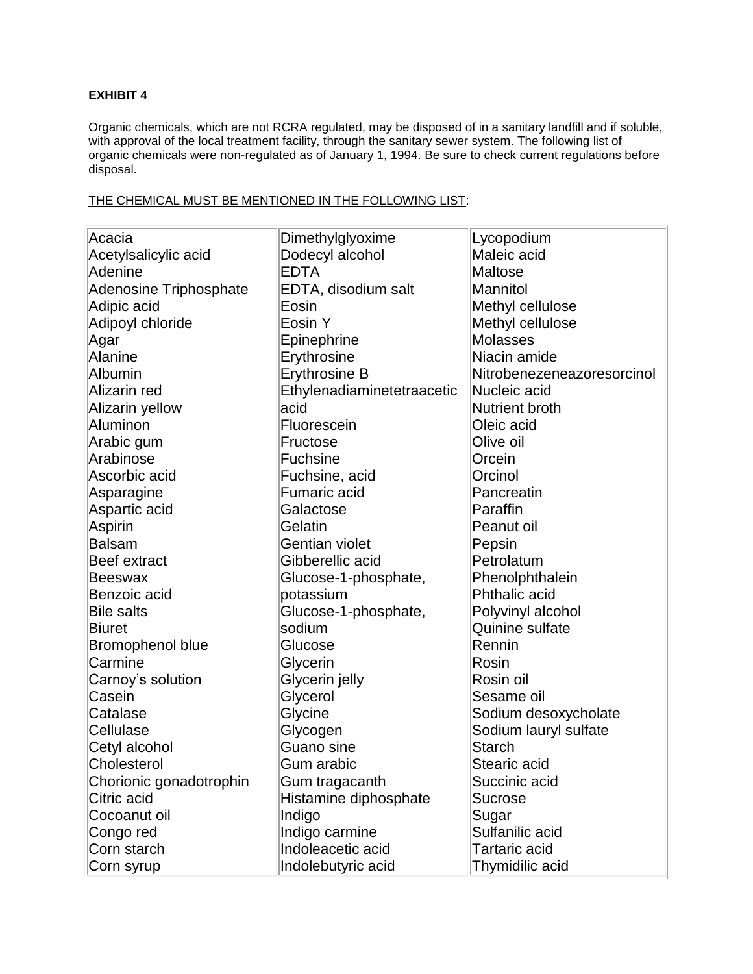# **EXHIBIT 4**

Organic chemicals, which are not RCRA regulated, may be disposed of in a sanitary landfill and if soluble, with approval of the local treatment facility, through the sanitary sewer system. The following list of organic chemicals were non-regulated as of January 1, 1994. Be sure to check current regulations before disposal.

## THE CHEMICAL MUST BE MENTIONED IN THE FOLLOWING LIST:

| Acacia                        | Dimethylglyoxime           | Lycopodium                 |
|-------------------------------|----------------------------|----------------------------|
| Acetylsalicylic acid          | Dodecyl alcohol            | Maleic acid                |
| Adenine                       | <b>EDTA</b>                | Maltose                    |
| <b>Adenosine Triphosphate</b> | EDTA, disodium salt        | Mannitol                   |
| Adipic acid                   | Eosin                      | Methyl cellulose           |
| Adipoyl chloride              | Eosin Y                    | Methyl cellulose           |
| Agar                          | Epinephrine                | Molasses                   |
| <b>Alanine</b>                | Erythrosine                | Niacin amide               |
| Albumin                       | Erythrosine B              | Nitrobenezeneazoresorcinol |
| Alizarin red                  | Ethylenadiaminetetraacetic | Nucleic acid               |
| Alizarin yellow               | acid                       | Nutrient broth             |
| Aluminon                      | Fluorescein                | Oleic acid                 |
| Arabic gum                    | Fructose                   | Olive oil                  |
| Arabinose                     | <b>Fuchsine</b>            | Orcein                     |
| Ascorbic acid                 | Fuchsine, acid             | Orcinol                    |
| Asparagine                    | <b>Fumaric acid</b>        | Pancreatin                 |
| Aspartic acid                 | Galactose                  | Paraffin                   |
| Aspirin                       | Gelatin                    | Peanut oil                 |
| <b>Balsam</b>                 | Gentian violet             | Pepsin                     |
| Beef extract                  | Gibberellic acid           | Petrolatum                 |
| <b>Beeswax</b>                | Glucose-1-phosphate,       | Phenolphthalein            |
| Benzoic acid                  | potassium                  | <b>Phthalic acid</b>       |
| <b>Bile salts</b>             | Glucose-1-phosphate,       | Polyvinyl alcohol          |
| <b>Biuret</b>                 | sodium                     | Quinine sulfate            |
| <b>Bromophenol blue</b>       | Glucose                    | Rennin                     |
| Carmine                       | Glycerin                   | Rosin                      |
| Carnoy's solution             | Glycerin jelly             | Rosin oil                  |
| Casein                        | Glycerol                   | Sesame oil                 |
| Catalase                      | Glycine                    | Sodium desoxycholate       |
| Cellulase                     | Glycogen                   | Sodium lauryl sulfate      |
| Cetyl alcohol                 | Guano sine                 | <b>Starch</b>              |
| Cholesterol                   | Gum arabic                 | Stearic acid               |
| Chorionic gonadotrophin       | Gum tragacanth             | Succinic acid              |
| Citric acid                   | Histamine diphosphate      | <b>Sucrose</b>             |
| Cocoanut oil                  | Indigo                     | Sugar                      |
| Congo red                     | Indigo carmine             | Sulfanilic acid            |
| Corn starch                   | Indoleacetic acid          | <b>Tartaric acid</b>       |
| Corn syrup                    | Indolebutyric acid         | Thymidilic acid            |